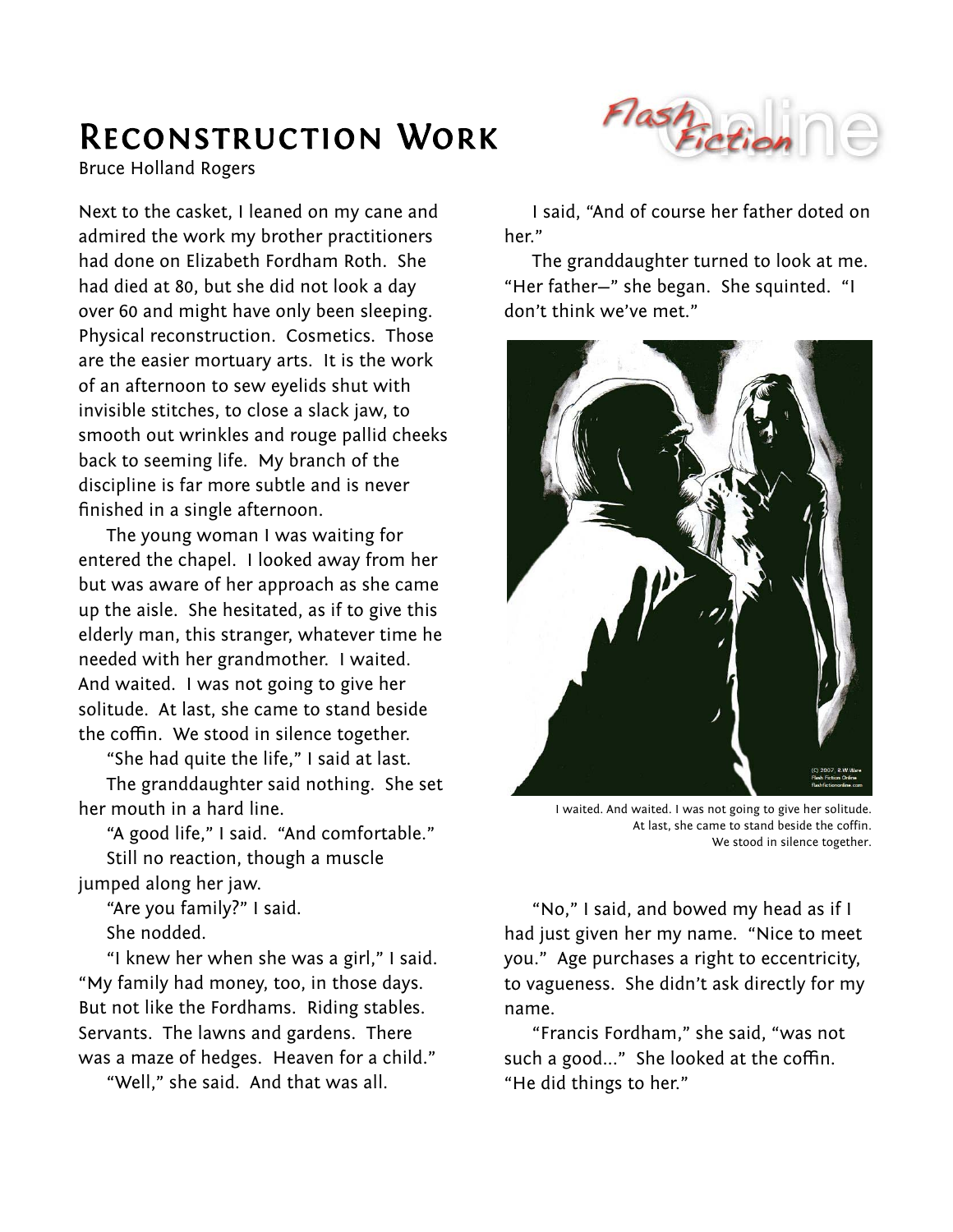## Reconstruction Work

Bruce Holland Rogers

Next to the casket, I leaned on my cane and admired the work my brother practitioners had done on Elizabeth Fordham Roth. She had died at 80, but she did not look a day over 60 and might have only been sleeping. Physical reconstruction. Cosmetics. Those are the easier mortuary arts. It is the work of an afternoon to sew eyelids shut with invisible stitches, to close a slack jaw, to smooth out wrinkles and rouge pallid cheeks back to seeming life. My branch of the discipline is far more subtle and is never finished in a single afternoon.

The young woman I was waiting for entered the chapel. I looked away from her but was aware of her approach as she came up the aisle. She hesitated, as if to give this elderly man, this stranger, whatever time he needed with her grandmother. I waited. And waited. I was not going to give her solitude. At last, she came to stand beside the coffin. We stood in silence together.

"She had quite the life," I said at last.

The granddaughter said nothing. She set her mouth in a hard line.

"A good life," I said. "And comfortable." Still no reaction, though a muscle jumped along her jaw.

"Are you family?" I said. She nodded.

"I knew her when she was a girl," I said. "My family had money, too, in those days. But not like the Fordhams. Riding stables. Servants. The lawns and gardens. There was a maze of hedges. Heaven for a child."

"Well," she said. And that was all.



I said, "And of course her father doted on her."

The granddaughter turned to look at me. "Her father—" she began. She squinted. "I don't think we've met."



I waited. And waited. I was not going to give her solitude. At last, she came to stand beside the coffin. We stood in silence together.

"No," I said, and bowed my head as if I had just given her my name. "Nice to meet you." Age purchases a right to eccentricity, to vagueness. She didn't ask directly for my name.

"Francis Fordham," she said, "was not such a good..." She looked at the coffin. "He did things to her."